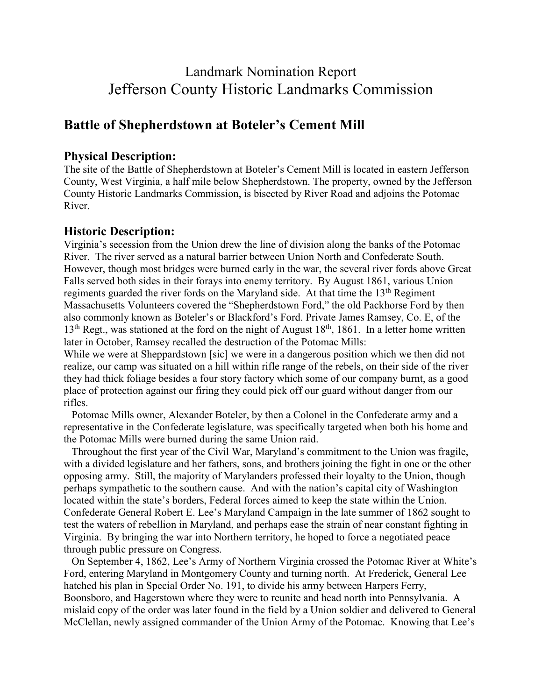# Landmark Nomination Report Jefferson County Historic Landmarks Commission

## **Battle of Shepherdstown at Boteler's Cement Mill**

## **Physical Description:**

The site of the Battle of Shepherdstown at Boteler's Cement Mill is located in eastern Jefferson County, West Virginia, a half mile below Shepherdstown. The property, owned by the Jefferson County Historic Landmarks Commission, is bisected by River Road and adjoins the Potomac River.

### **Historic Description:**

Virginia's secession from the Union drew the line of division along the banks of the Potomac River. The river served as a natural barrier between Union North and Confederate South. However, though most bridges were burned early in the war, the several river fords above Great Falls served both sides in their forays into enemy territory. By August 1861, various Union regiments guarded the river fords on the Maryland side. At that time the 13<sup>th</sup> Regiment Massachusetts Volunteers covered the "Shepherdstown Ford," the old Packhorse Ford by then also commonly known as Boteler's or Blackford's Ford. Private James Ramsey, Co. E, of the  $13<sup>th</sup>$  Regt., was stationed at the ford on the night of August 18<sup>th</sup>, 1861. In a letter home written later in October, Ramsey recalled the destruction of the Potomac Mills:

While we were at Sheppardstown [sic] we were in a dangerous position which we then did not realize, our camp was situated on a hill within rifle range of the rebels, on their side of the river they had thick foliage besides a four story factory which some of our company burnt, as a good place of protection against our firing they could pick off our guard without danger from our rifles.

 Potomac Mills owner, Alexander Boteler, by then a Colonel in the Confederate army and a representative in the Confederate legislature, was specifically targeted when both his home and the Potomac Mills were burned during the same Union raid.

 Throughout the first year of the Civil War, Maryland's commitment to the Union was fragile, with a divided legislature and her fathers, sons, and brothers joining the fight in one or the other opposing army. Still, the majority of Marylanders professed their loyalty to the Union, though perhaps sympathetic to the southern cause. And with the nation's capital city of Washington located within the state's borders, Federal forces aimed to keep the state within the Union. Confederate General Robert E. Lee's Maryland Campaign in the late summer of 1862 sought to test the waters of rebellion in Maryland, and perhaps ease the strain of near constant fighting in Virginia. By bringing the war into Northern territory, he hoped to force a negotiated peace through public pressure on Congress.

 On September 4, 1862, Lee's Army of Northern Virginia crossed the Potomac River at White's Ford, entering Maryland in Montgomery County and turning north. At Frederick, General Lee hatched his plan in Special Order No. 191, to divide his army between Harpers Ferry, Boonsboro, and Hagerstown where they were to reunite and head north into Pennsylvania. A mislaid copy of the order was later found in the field by a Union soldier and delivered to General McClellan, newly assigned commander of the Union Army of the Potomac. Knowing that Lee's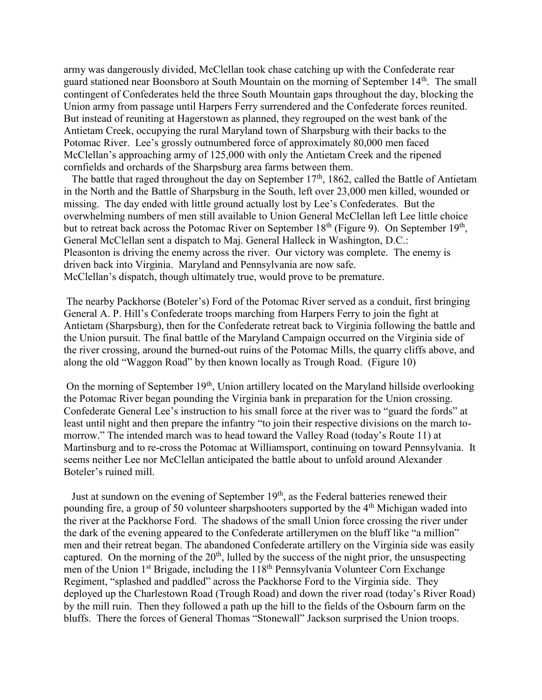army was dangerously divided, McClellan took chase catching up with the Confederate rear guard stationed near Boonsboro at South Mountain on the morning of September 14th. The small contingent of Confederates held the three South Mountain gaps throughout the day, blocking the Union army from passage until Harpers Ferry surrendered and the Confederate forces reunited. But instead of reuniting at Hagerstown as planned, they regrouped on the west bank of the Antietam Creek, occupying the rural Maryland town of Sharpsburg with their backs to the Potomac River. Lee's grossly outnumbered force of approximately 80,000 men faced McClellan's approaching army of 125,000 with only the Antietam Creek and the ripened cornfields and orchards of the Sharpsburg area farms between them.

The battle that raged throughout the day on September  $17<sup>th</sup>$ , 1862, called the Battle of Antietam in the North and the Battle of Sharpsburg in the South, left over 23,000 men killed, wounded or missing. The day ended with little ground actually lost by Lee's Confederates. But the overwhelming numbers of men still available to Union General McClellan left Lee little choice but to retreat back across the Potomac River on September 18<sup>th</sup> (Figure 9). On September 19<sup>th</sup>, General McClellan sent a dispatch to Maj. General Halleck in Washington, D.C.: Pleasonton is driving the enemy across the river. Our victory was complete. The enemy is driven back into Virginia. Maryland and Pennsylvania are now safe. McClellan's dispatch, though ultimately true, would prove to be premature.

The nearby Packhorse (Boteler's) Ford of the Potomac River served as a conduit, first bringing General A. P. Hill's Confederate troops marching from Harpers Ferry to join the fight at Antietam (Sharpsburg), then for the Confederate retreat back to Virginia following the battle and the Union pursuit. The final battle of the Maryland Campaign occurred on the Virginia side of the river crossing, around the burned-out ruins of the Potomac Mills, the quarry cliffs above, and along the old "Waggon Road" by then known locally as Trough Road. (Figure 10)

On the morning of September 19<sup>th</sup>, Union artillery located on the Maryland hillside overlooking the Potomac River began pounding the Virginia bank in preparation for the Union crossing. Confederate General Lee's instruction to his small force at the river was to "guard the fords" at least until night and then prepare the infantry "to join their respective divisions on the march tomorrow." The intended march was to head toward the Valley Road (today's Route 11) at Martinsburg and to re-cross the Potomac at Williamsport, continuing on toward Pennsylvania. It seems neither Lee nor McClellan anticipated the battle about to unfold around Alexander Boteler's ruined mill.

Just at sundown on the evening of September 19<sup>th</sup>, as the Federal batteries renewed their pounding fire, a group of 50 volunteer sharpshooters supported by the 4<sup>th</sup> Michigan waded into the river at the Packhorse Ford. The shadows of the small Union force crossing the river under the dark of the evening appeared to the Confederate artillerymen on the bluff like "a million" men and their retreat began. The abandoned Confederate artillery on the Virginia side was easily captured. On the morning of the  $20<sup>th</sup>$ , lulled by the success of the night prior, the unsuspecting men of the Union 1<sup>st</sup> Brigade, including the 118<sup>th</sup> Pennsylvania Volunteer Corn Exchange Regiment, "splashed and paddled" across the Packhorse Ford to the Virginia side. They deployed up the Charlestown Road (Trough Road) and down the river road (today's River Road) by the mill ruin. Then they followed a path up the hill to the fields of the Osbourn farm on the bluffs. There the forces of General Thomas "Stonewall" Jackson surprised the Union troops.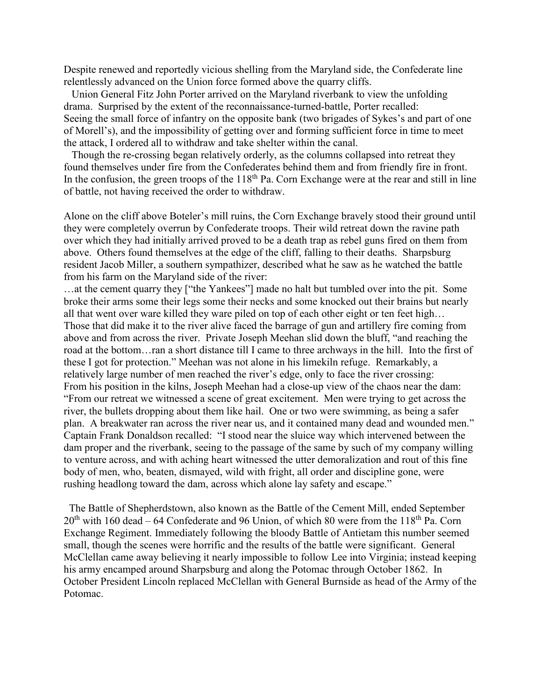Despite renewed and reportedly vicious shelling from the Maryland side, the Confederate line relentlessly advanced on the Union force formed above the quarry cliffs.

 Union General Fitz John Porter arrived on the Maryland riverbank to view the unfolding drama. Surprised by the extent of the reconnaissance-turned-battle, Porter recalled: Seeing the small force of infantry on the opposite bank (two brigades of Sykes's and part of one of Morell's), and the impossibility of getting over and forming sufficient force in time to meet the attack, I ordered all to withdraw and take shelter within the canal.

 Though the re-crossing began relatively orderly, as the columns collapsed into retreat they found themselves under fire from the Confederates behind them and from friendly fire in front. In the confusion, the green troops of the  $118<sup>th</sup>$  Pa. Corn Exchange were at the rear and still in line of battle, not having received the order to withdraw.

Alone on the cliff above Boteler's mill ruins, the Corn Exchange bravely stood their ground until they were completely overrun by Confederate troops. Their wild retreat down the ravine path over which they had initially arrived proved to be a death trap as rebel guns fired on them from above. Others found themselves at the edge of the cliff, falling to their deaths. Sharpsburg resident Jacob Miller, a southern sympathizer, described what he saw as he watched the battle from his farm on the Maryland side of the river:

…at the cement quarry they ["the Yankees"] made no halt but tumbled over into the pit. Some broke their arms some their legs some their necks and some knocked out their brains but nearly all that went over ware killed they ware piled on top of each other eight or ten feet high… Those that did make it to the river alive faced the barrage of gun and artillery fire coming from above and from across the river. Private Joseph Meehan slid down the bluff, "and reaching the road at the bottom…ran a short distance till I came to three archways in the hill. Into the first of these I got for protection." Meehan was not alone in his limekiln refuge. Remarkably, a relatively large number of men reached the river's edge, only to face the river crossing: From his position in the kilns, Joseph Meehan had a close-up view of the chaos near the dam: "From our retreat we witnessed a scene of great excitement. Men were trying to get across the river, the bullets dropping about them like hail. One or two were swimming, as being a safer plan. A breakwater ran across the river near us, and it contained many dead and wounded men." Captain Frank Donaldson recalled: "I stood near the sluice way which intervened between the dam proper and the riverbank, seeing to the passage of the same by such of my company willing to venture across, and with aching heart witnessed the utter demoralization and rout of this fine body of men, who, beaten, dismayed, wild with fright, all order and discipline gone, were rushing headlong toward the dam, across which alone lay safety and escape."

 The Battle of Shepherdstown, also known as the Battle of the Cement Mill, ended September  $20<sup>th</sup>$  with 160 dead – 64 Confederate and 96 Union, of which 80 were from the 118<sup>th</sup> Pa. Corn Exchange Regiment. Immediately following the bloody Battle of Antietam this number seemed small, though the scenes were horrific and the results of the battle were significant. General McClellan came away believing it nearly impossible to follow Lee into Virginia; instead keeping his army encamped around Sharpsburg and along the Potomac through October 1862. In October President Lincoln replaced McClellan with General Burnside as head of the Army of the Potomac.